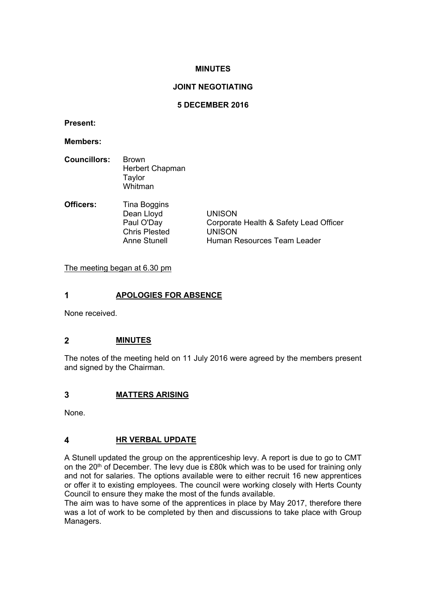#### **MINUTES**

#### **JOINT NEGOTIATING**

#### **5 DECEMBER 2016**

**Present:**

**Members:**

| <b>Councillors:</b> | <b>Brown</b>    |
|---------------------|-----------------|
|                     | Herbert Chapman |
|                     | Taylor          |
|                     | Whitman         |

| <b>Officers:</b> | Tina Boggins         |                                        |
|------------------|----------------------|----------------------------------------|
|                  | Dean Lloyd           | <b>UNISON</b>                          |
|                  | Paul O'Day           | Corporate Health & Safety Lead Officer |
|                  | <b>Chris Plested</b> | <b>UNISON</b>                          |
|                  | <b>Anne Stunell</b>  | Human Resources Team Leader            |

The meeting began at 6.30 pm

#### **1 APOLOGIES FOR ABSENCE**

None received.

#### **2 MINUTES**

The notes of the meeting held on 11 July 2016 were agreed by the members present and signed by the Chairman.

#### **3 MATTERS ARISING**

None.

#### **4 HR VERBAL UPDATE**

A Stunell updated the group on the apprenticeship levy. A report is due to go to CMT on the 20<sup>th</sup> of December. The levy due is £80k which was to be used for training only and not for salaries. The options available were to either recruit 16 new apprentices or offer it to existing employees. The council were working closely with Herts County Council to ensure they make the most of the funds available.

The aim was to have some of the apprentices in place by May 2017, therefore there was a lot of work to be completed by then and discussions to take place with Group Managers.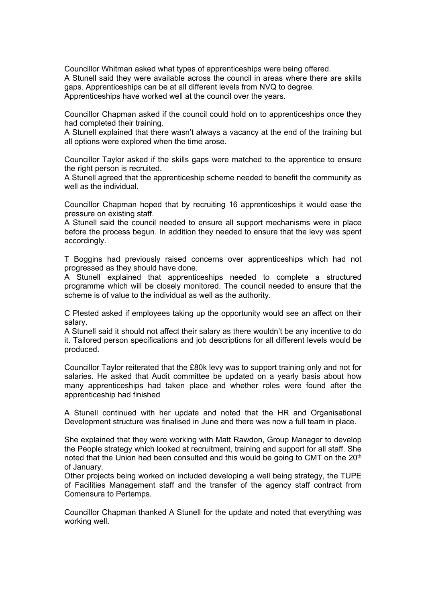Councillor Whitman asked what types of apprenticeships were being offered. A Stunell said they were available across the council in areas where there are skills gaps. Apprenticeships can be at all different levels from NVQ to degree. Apprenticeships have worked well at the council over the years.

Councillor Chapman asked if the council could hold on to apprenticeships once they had completed their training.

A Stunell explained that there wasn't always a vacancy at the end of the training but all options were explored when the time arose.

Councillor Taylor asked if the skills gaps were matched to the apprentice to ensure the right person is recruited.

A Stunell agreed that the apprenticeship scheme needed to benefit the community as well as the individual.

Councillor Chapman hoped that by recruiting 16 apprenticeships it would ease the pressure on existing staff.

A Stunell said the council needed to ensure all support mechanisms were in place before the process begun. In addition they needed to ensure that the levy was spent accordingly.

T Boggins had previously raised concerns over apprenticeships which had not progressed as they should have done.

A Stunell explained that apprenticeships needed to complete a structured programme which will be closely monitored. The council needed to ensure that the scheme is of value to the individual as well as the authority.

C Plested asked if employees taking up the opportunity would see an affect on their salary.

A Stunell said it should not affect their salary as there wouldn't be any incentive to do it. Tailored person specifications and job descriptions for all different levels would be produced.

Councillor Taylor reiterated that the £80k levy was to support training only and not for salaries. He asked that Audit committee be updated on a yearly basis about how many apprenticeships had taken place and whether roles were found after the apprenticeship had finished

A Stunell continued with her update and noted that the HR and Organisational Development structure was finalised in June and there was now a full team in place.

She explained that they were working with Matt Rawdon, Group Manager to develop the People strategy which looked at recruitment, training and support for all staff. She noted that the Union had been consulted and this would be going to CMT on the 20<sup>th</sup> of January.

Other projects being worked on included developing a well being strategy, the TUPE of Facilities Management staff and the transfer of the agency staff contract from Comensura to Pertemps.

Councillor Chapman thanked A Stunell for the update and noted that everything was working well.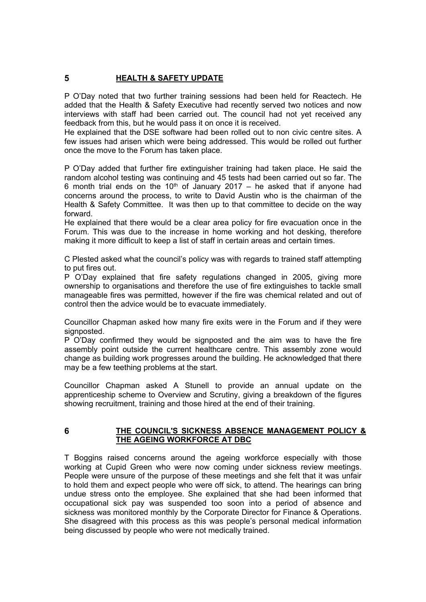### **5 HEALTH & SAFETY UPDATE**

P O'Day noted that two further training sessions had been held for Reactech. He added that the Health & Safety Executive had recently served two notices and now interviews with staff had been carried out. The council had not yet received any feedback from this, but he would pass it on once it is received.

He explained that the DSE software had been rolled out to non civic centre sites. A few issues had arisen which were being addressed. This would be rolled out further once the move to the Forum has taken place.

P O'Day added that further fire extinguisher training had taken place. He said the random alcohol testing was continuing and 45 tests had been carried out so far. The 6 month trial ends on the 10<sup>th</sup> of January 2017 – he asked that if anyone had concerns around the process, to write to David Austin who is the chairman of the Health & Safety Committee. It was then up to that committee to decide on the way forward.

He explained that there would be a clear area policy for fire evacuation once in the Forum. This was due to the increase in home working and hot desking, therefore making it more difficult to keep a list of staff in certain areas and certain times.

C Plested asked what the council's policy was with regards to trained staff attempting to put fires out.

P O'Day explained that fire safety regulations changed in 2005, giving more ownership to organisations and therefore the use of fire extinguishes to tackle small manageable fires was permitted, however if the fire was chemical related and out of control then the advice would be to evacuate immediately.

Councillor Chapman asked how many fire exits were in the Forum and if they were signposted.

P O'Day confirmed they would be signposted and the aim was to have the fire assembly point outside the current healthcare centre. This assembly zone would change as building work progresses around the building. He acknowledged that there may be a few teething problems at the start.

Councillor Chapman asked A Stunell to provide an annual update on the apprenticeship scheme to Overview and Scrutiny, giving a breakdown of the figures showing recruitment, training and those hired at the end of their training.

#### **6 THE COUNCIL'S SICKNESS ABSENCE MANAGEMENT POLICY & THE AGEING WORKFORCE AT DBC**

T Boggins raised concerns around the ageing workforce especially with those working at Cupid Green who were now coming under sickness review meetings. People were unsure of the purpose of these meetings and she felt that it was unfair to hold them and expect people who were off sick, to attend. The hearings can bring undue stress onto the employee. She explained that she had been informed that occupational sick pay was suspended too soon into a period of absence and sickness was monitored monthly by the Corporate Director for Finance & Operations. She disagreed with this process as this was people's personal medical information being discussed by people who were not medically trained.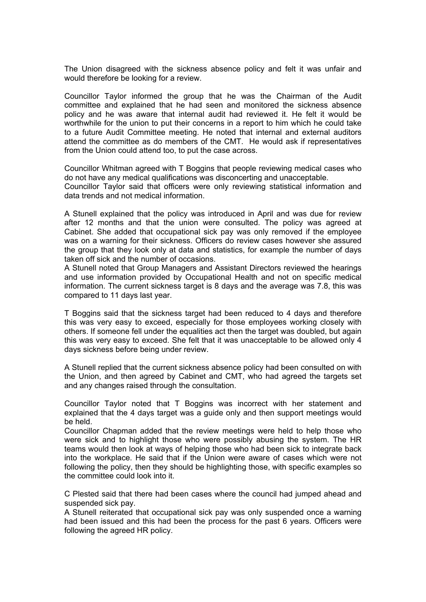The Union disagreed with the sickness absence policy and felt it was unfair and would therefore be looking for a review.

Councillor Taylor informed the group that he was the Chairman of the Audit committee and explained that he had seen and monitored the sickness absence policy and he was aware that internal audit had reviewed it. He felt it would be worthwhile for the union to put their concerns in a report to him which he could take to a future Audit Committee meeting. He noted that internal and external auditors attend the committee as do members of the CMT. He would ask if representatives from the Union could attend too, to put the case across.

Councillor Whitman agreed with T Boggins that people reviewing medical cases who do not have any medical qualifications was disconcerting and unacceptable. Councillor Taylor said that officers were only reviewing statistical information and data trends and not medical information.

A Stunell explained that the policy was introduced in April and was due for review after 12 months and that the union were consulted. The policy was agreed at Cabinet. She added that occupational sick pay was only removed if the employee was on a warning for their sickness. Officers do review cases however she assured the group that they look only at data and statistics, for example the number of days taken off sick and the number of occasions.

A Stunell noted that Group Managers and Assistant Directors reviewed the hearings and use information provided by Occupational Health and not on specific medical information. The current sickness target is 8 days and the average was 7.8, this was compared to 11 days last year.

T Boggins said that the sickness target had been reduced to 4 days and therefore this was very easy to exceed, especially for those employees working closely with others. If someone fell under the equalities act then the target was doubled, but again this was very easy to exceed. She felt that it was unacceptable to be allowed only 4 days sickness before being under review.

A Stunell replied that the current sickness absence policy had been consulted on with the Union, and then agreed by Cabinet and CMT, who had agreed the targets set and any changes raised through the consultation.

Councillor Taylor noted that T Boggins was incorrect with her statement and explained that the 4 days target was a guide only and then support meetings would be held.

Councillor Chapman added that the review meetings were held to help those who were sick and to highlight those who were possibly abusing the system. The HR teams would then look at ways of helping those who had been sick to integrate back into the workplace. He said that if the Union were aware of cases which were not following the policy, then they should be highlighting those, with specific examples so the committee could look into it.

C Plested said that there had been cases where the council had jumped ahead and suspended sick pay.

A Stunell reiterated that occupational sick pay was only suspended once a warning had been issued and this had been the process for the past 6 years. Officers were following the agreed HR policy.